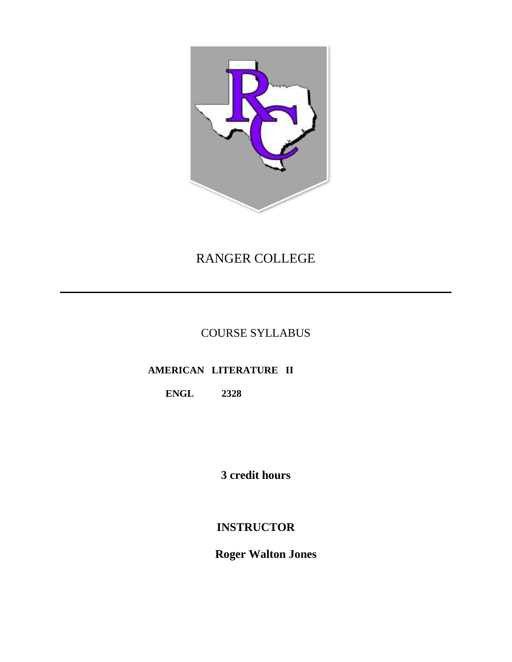

# RANGER COLLEGE

## COURSE SYLLABUS

## **AMERICAN LITERATURE II**

## **ENGL 2328**

**3 credit hours**

## **INSTRUCTOR**

 **Roger Walton Jones**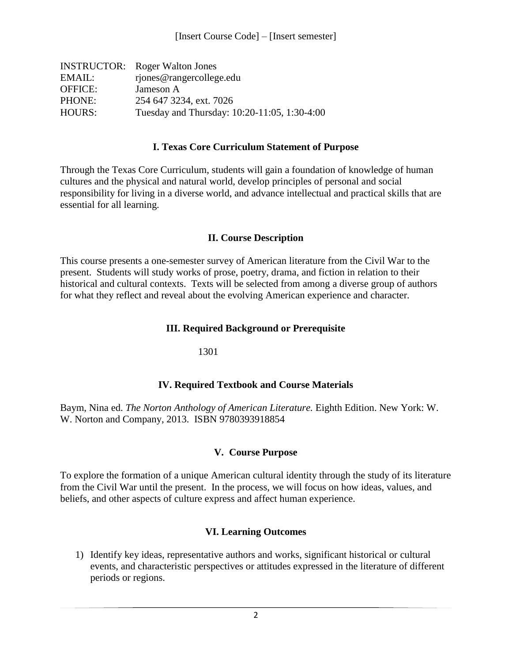|                | <b>INSTRUCTOR:</b> Roger Walton Jones        |
|----------------|----------------------------------------------|
| EMAIL:         | rjones@rangercollege.edu                     |
| <b>OFFICE:</b> | Jameson A                                    |
| PHONE:         | 254 647 3234, ext. 7026                      |
| <b>HOURS:</b>  | Tuesday and Thursday: 10:20-11:05, 1:30-4:00 |

#### **I. Texas Core Curriculum Statement of Purpose**

Through the Texas Core Curriculum, students will gain a foundation of knowledge of human cultures and the physical and natural world, develop principles of personal and social responsibility for living in a diverse world, and advance intellectual and practical skills that are essential for all learning.

#### **II. Course Description**

This course presents a one-semester survey of American literature from the Civil War to the present. Students will study works of prose, poetry, drama, and fiction in relation to their historical and cultural contexts. Texts will be selected from among a diverse group of authors for what they reflect and reveal about the evolving American experience and character.

#### **III. Required Background or Prerequisite**

1301

#### **IV. Required Textbook and Course Materials**

Baym, Nina ed. *The Norton Anthology of American Literature.* Eighth Edition. New York: W. W. Norton and Company, 2013. ISBN 9780393918854

#### **V. Course Purpose**

To explore the formation of a unique American cultural identity through the study of its literature from the Civil War until the present. In the process, we will focus on how ideas, values, and beliefs, and other aspects of culture express and affect human experience.

#### **VI. Learning Outcomes**

1) Identify key ideas, representative authors and works, significant historical or cultural events, and characteristic perspectives or attitudes expressed in the literature of different periods or regions.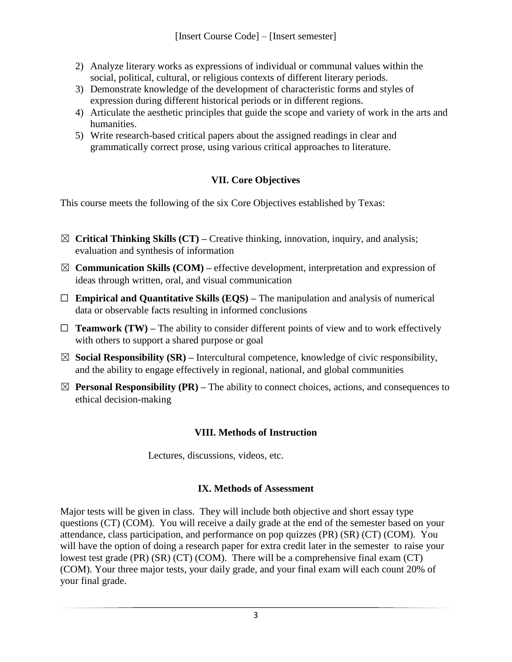- 2) Analyze literary works as expressions of individual or communal values within the social, political, cultural, or religious contexts of different literary periods.
- 3) Demonstrate knowledge of the development of characteristic forms and styles of expression during different historical periods or in different regions.
- 4) Articulate the aesthetic principles that guide the scope and variety of work in the arts and humanities.
- 5) Write research-based critical papers about the assigned readings in clear and grammatically correct prose, using various critical approaches to literature.

## **VII. Core Objectives**

This course meets the following of the six Core Objectives established by Texas:

- ☒ **Critical Thinking Skills (CT) –** Creative thinking, innovation, inquiry, and analysis; evaluation and synthesis of information
- $\boxtimes$  **Communication Skills (COM)** effective development, interpretation and expression of ideas through written, oral, and visual communication
- ☐ **Empirical and Quantitative Skills (EQS) –** The manipulation and analysis of numerical data or observable facts resulting in informed conclusions
- $\Box$  **Teamwork (TW)** The ability to consider different points of view and to work effectively with others to support a shared purpose or goal
- $\boxtimes$  **Social Responsibility (SR)** Intercultural competence, knowledge of civic responsibility, and the ability to engage effectively in regional, national, and global communities
- ☒ **Personal Responsibility (PR) –** The ability to connect choices, actions, and consequences to ethical decision-making

### **VIII. Methods of Instruction**

Lectures, discussions, videos, etc.

### **IX. Methods of Assessment**

Major tests will be given in class. They will include both objective and short essay type questions (CT) (COM). You will receive a daily grade at the end of the semester based on your attendance, class participation, and performance on pop quizzes (PR) (SR) (CT) (COM). You will have the option of doing a research paper for extra credit later in the semester to raise your lowest test grade (PR) (SR) (CT) (COM). There will be a comprehensive final exam (CT) (COM). Your three major tests, your daily grade, and your final exam will each count 20% of your final grade.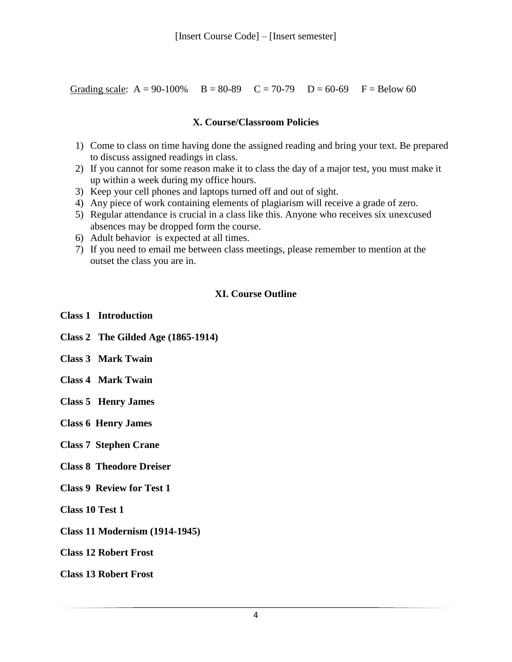Grading scale:  $A = 90-100\%$   $B = 80-89$   $C = 70-79$   $D = 60-69$   $F = Below 60$ 

#### **X. Course/Classroom Policies**

- 1) Come to class on time having done the assigned reading and bring your text. Be prepared to discuss assigned readings in class.
- 2) If you cannot for some reason make it to class the day of a major test, you must make it up within a week during my office hours.
- 3) Keep your cell phones and laptops turned off and out of sight.
- 4) Any piece of work containing elements of plagiarism will receive a grade of zero.
- 5) Regular attendance is crucial in a class like this. Anyone who receives six unexcused absences may be dropped form the course.
- 6) Adult behavior is expected at all times.
- 7) If you need to email me between class meetings, please remember to mention at the outset the class you are in.

#### **XI. Course Outline**

- **Class 1 Introduction**
- **Class 2 The Gilded Age (1865-1914)**
- **Class 3 Mark Twain**
- **Class 4 Mark Twain**
- **Class 5 Henry James**
- **Class 6 Henry James**
- **Class 7 Stephen Crane**
- **Class 8 Theodore Dreiser**
- **Class 9 Review for Test 1**
- **Class 10 Test 1**
- **Class 11 Modernism (1914-1945)**
- **Class 12 Robert Frost**

**Class 13 Robert Frost**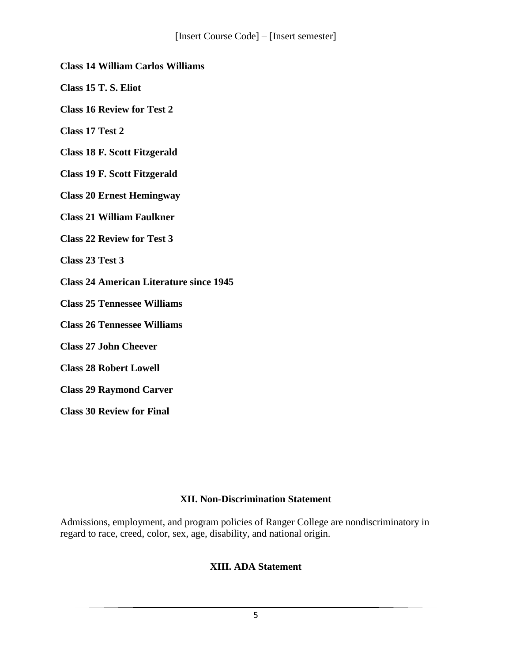#### **Class 14 William Carlos Williams**

**Class 15 T. S. Eliot**

**Class 16 Review for Test 2**

**Class 17 Test 2**

**Class 18 F. Scott Fitzgerald**

**Class 19 F. Scott Fitzgerald**

**Class 20 Ernest Hemingway**

**Class 21 William Faulkner**

**Class 22 Review for Test 3**

**Class 23 Test 3**

**Class 24 American Literature since 1945**

**Class 25 Tennessee Williams**

**Class 26 Tennessee Williams**

**Class 27 John Cheever**

**Class 28 Robert Lowell**

**Class 29 Raymond Carver**

**Class 30 Review for Final**

#### **XII. Non-Discrimination Statement**

Admissions, employment, and program policies of Ranger College are nondiscriminatory in regard to race, creed, color, sex, age, disability, and national origin.

## **XIII. ADA Statement**